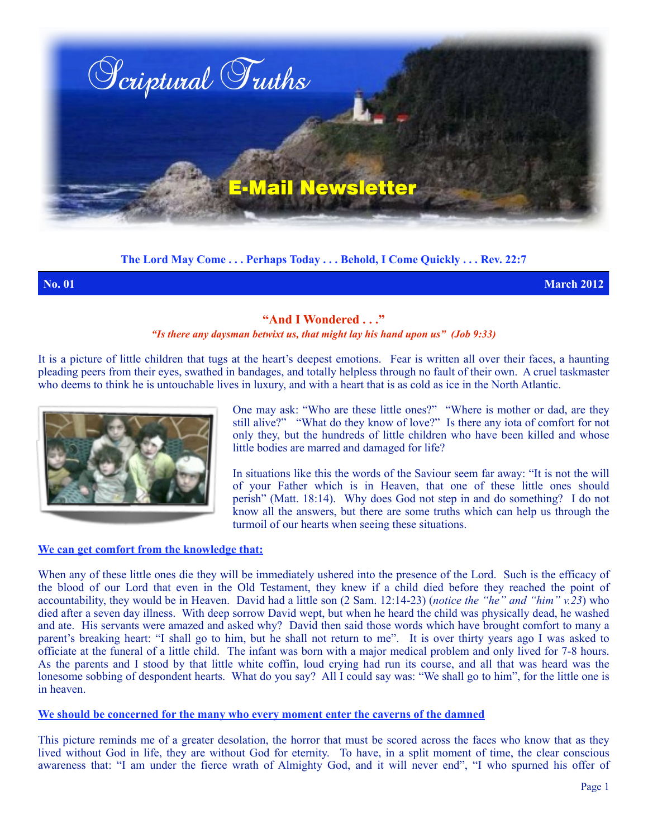

**The Lord May Come . . . Perhaps Today . . . Behold, I Come Quickly . . . Rev. 22:7**

**No. 01 March 2012**

# **"And I Wondered . . ."**

### *"Is there any daysman betwixt us, that might lay his hand upon us" (Job 9:33)*

It is a picture of little children that tugs at the heart's deepest emotions. Fear is written all over their faces, a haunting pleading peers from their eyes, swathed in bandages, and totally helpless through no fault of their own. A cruel taskmaster who deems to think he is untouchable lives in luxury, and with a heart that is as cold as ice in the North Atlantic.



One may ask: "Who are these little ones?" "Where is mother or dad, are they still alive?" "What do they know of love?" Is there any iota of comfort for not only they, but the hundreds of little children who have been killed and whose little bodies are marred and damaged for life?

In situations like this the words of the Saviour seem far away: "It is not the will of your Father which is in Heaven, that one of these little ones should perish" (Matt. 18:14). Why does God not step in and do something? I do not know all the answers, but there are some truths which can help us through the turmoil of our hearts when seeing these situations.

#### **We can get comfort from the knowledge that:**

When any of these little ones die they will be immediately ushered into the presence of the Lord. Such is the efficacy of the blood of our Lord that even in the Old Testament, they knew if a child died before they reached the point of accountability, they would be in Heaven. David had a little son (2 Sam. 12:14-23) (*notice the "he" and "him" v.23*) who died after a seven day illness. With deep sorrow David wept, but when he heard the child was physically dead, he washed and ate. His servants were amazed and asked why? David then said those words which have brought comfort to many a parent's breaking heart: "I shall go to him, but he shall not return to me". It is over thirty years ago I was asked to officiate at the funeral of a little child. The infant was born with a major medical problem and only lived for 7-8 hours. As the parents and I stood by that little white coffin, loud crying had run its course, and all that was heard was the lonesome sobbing of despondent hearts. What do you say? All I could say was: "We shall go to him", for the little one is in heaven.

## **We should be concerned for the many who every moment enter the caverns of the damned**

This picture reminds me of a greater desolation, the horror that must be scored across the faces who know that as they lived without God in life, they are without God for eternity. To have, in a split moment of time, the clear conscious awareness that: "I am under the fierce wrath of Almighty God, and it will never end", "I who spurned his offer of